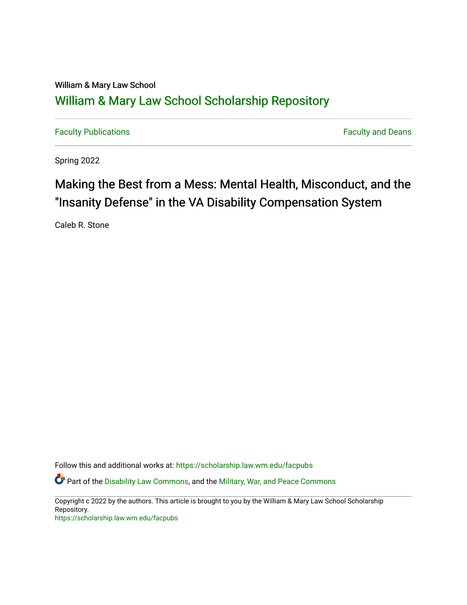## William & Mary Law School [William & Mary Law School Scholarship Repository](https://scholarship.law.wm.edu/)

[Faculty Publications](https://scholarship.law.wm.edu/facpubs) **Faculty Publications** 

Spring 2022

# Making the Best from a Mess: Mental Health, Misconduct, and the "Insanity Defense" in the VA Disability Compensation System

Caleb R. Stone

Follow this and additional works at: [https://scholarship.law.wm.edu/facpubs](https://scholarship.law.wm.edu/facpubs?utm_source=scholarship.law.wm.edu%2Ffacpubs%2F2065&utm_medium=PDF&utm_campaign=PDFCoverPages)

**C** Part of the [Disability Law Commons](http://network.bepress.com/hgg/discipline/1074?utm_source=scholarship.law.wm.edu%2Ffacpubs%2F2065&utm_medium=PDF&utm_campaign=PDFCoverPages), and the Military, War, and Peace Commons

Copyright c 2022 by the authors. This article is brought to you by the William & Mary Law School Scholarship Repository.

<https://scholarship.law.wm.edu/facpubs>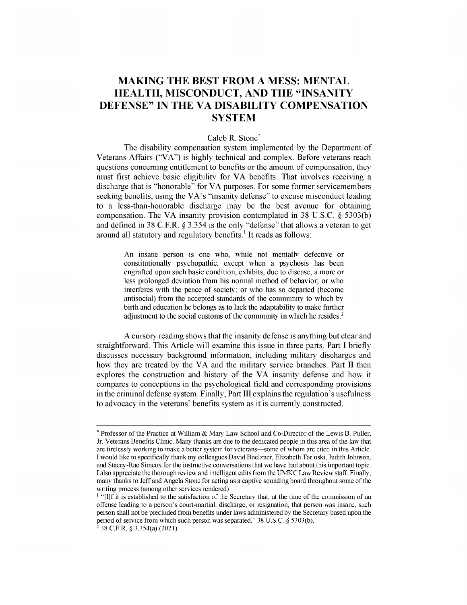### **MAKING THE BEST FROM A MESS: MENTAL HEALTH, MISCONDUCT, AND THE "INSANITY DEFENSE" IN THE VA DISABILITY COMPENSATION SYSTEM**

#### Caleb R. Stone<sup>\*</sup>

The disability compensation system implemented by the Department of Veterans Affairs ("VA") is highly technical and complex. Before veterans reach questions concerning entitlement to benefits or the amount of compensation, they must first achieve basic eligibility for VA benefits. That involves receiving a discharge that is "honorable" for VA purposes. For some former servicemembers seeking benefits, using the VA's "insanity defense" to excuse misconduct leading to a less-than-honorable discharge may be the best avenue for obtaining compensation. The VA insanity provision contemplated in 38 U.S.C. @ *5303(b)* and defined in 38 C.F.R. @ *3.354* is the only "defense" that allows a veteran to get around all statutory and regulatory benefits.' It reads as follows:

An insane person is one who, while not mentally defective or constitutionally psychopathic, except when a psychosis has been engrafted upon such basic condition, exhibits, due to disease, a more or less prolonged deviation from his normal method of behavior; or who interferes with the peace of society; or who has so departed (become antisocial) from the accepted standards of the community to which by birth and education he belongs as to lack the adaptability to make further adjustment to the social customs of the community in which he resides.<sup>2</sup>

A cursory reading shows that the insanity defense is anything but clear and straightforward. This Article will examine this issue in three parts. Part I briefly discusses necessary background information, including military discharges and how they are treated by the VA and the military service branches. Part II then explores the construction and history of the VA insanity defense and how it compares to conceptions in the psychological field and corresponding provisions in the criminal defense system. Finally, Part **III** explains the regulation's usefulness to advocacy in the veterans' benefits system as it is currently constructed.

<sup>\*</sup> Professor of the Practice at William & Mary Law School and Co-Director of the Lewis B. Puller, Jr. Veterans Benefits Clinic. Many thanks are due to the dedicated people in this area of the law that are tirelessly working to make a better system for veterans-some of whom are cited in this Article. I would like to specifically thank my colleagues David Boelzner, Elizabeth Tarloski, Judith Johnson, and Stacey-Rae Simcox for the instructive conversations that we have had about this important topic. I also appreciate the thorough review and intelligent edits from the UMKC Law Review staff. Finally, many thanks to Jeff and Angela Stone for acting as a captive sounding board throughout some of the writing process (among other services rendered).

<sup>&</sup>lt;sup>1</sup> "[I]f it is established to the satisfaction of the Secretary that, at the time of the commission of an offense leading to a person's court-martial, discharge, or resignation, that person was insane, such person shall not be precluded from benefits under laws administered by the Secretary based upon the period of service from which such person was separated." 38 U.S.C. § 5303(b).

 $2^{2}$  38 C.F.R. § 3.354(a) (2021).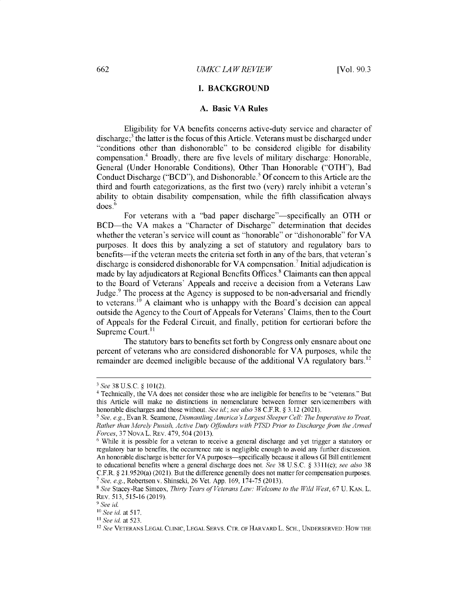#### **I. BACKGROUND**

#### **A. Basic VA Rules**

Eligibility for VA benefits concerns active-duty service and character of discharge; $3$  the latter is the focus of this Article. Veterans must be discharged under "conditions other than dishonorable" to be considered eligible for disability compensation.<sup>4</sup> Broadly, there are five levels of military discharge: Honorable, General (Under Honorable Conditions), Other Than Honorable ("OTH"), Bad Conduct Discharge ("BCD"), and Dishonorable.' Of concern to this Article are the third and fourth categorizations, as the first two (very) rarely inhibit a veteran's ability to obtain disability compensation, while the fifth classification always does.<sup>6</sup>

For veterans with a "bad paper discharge"—specifically an OTH or BCD-the VA makes a "Character of Discharge" determination that decides whether the veteran's service will count as "honorable" or "dishonorable" for VA purposes. It does this by analyzing a set of statutory and regulatory bars to benefits—if the veteran meets the criteria set forth in any of the bars, that veteran's discharge is considered dishonorable for VA compensation.<sup>7</sup> Initial adjudication is made by lay adjudicators at Regional Benefits Offices.<sup>8</sup> Claimants can then appeal to the Board of Veterans' Appeals and receive a decision from a Veterans Law Judge. $9$  The process at the Agency is supposed to be non-adversarial and friendly to veterans.<sup>10</sup> A claimant who is unhappy with the Board's decision can appeal outside the Agency to the Court of Appeals for Veterans' Claims, then to the Court of Appeals for the Federal Circuit, and finally, petition for certiorari before the Supreme Court.<sup>11</sup>

The statutory bars to benefits set forth by Congress only ensnare about one percent of veterans who are considered dishonorable for VA purposes, while the remainder are deemed ineligible because of the additional VA regulatory bars.<sup>12</sup>

<sup>3</sup>*See* 38 U.S.C. **§** 101(2).

<sup>4</sup> Technically, the VA does not consider those who are ineligible for benefits to be "veterans." But this Article will make no distinctions in nomenclature between former servicemembers with honorable discharges and those without. *See id.; see also* 38 C.F.R. **§** 3.12 (2021).

*<sup>&#</sup>x27; See, e.g.,* Evan R. **Seamone,** *Dismantling America's Largest Sleeper Cell: The Imperative to Treat, Rather than Merely Punish, Active Duty Offenders with PTSD Prior to Discharge from the Armed Forces,* 37 NOVA L. REv. 479, *504* (2013).

<sup>6</sup> While it is possible for a veteran to receive a general discharge and yet trigger a statutory or regulatory bar to benefits, the occurrence rate is negligible enough to avoid any further discussion. An honorable discharge is better for VA purposes—specifically because it allows GI Bill entitlement to educational benefits where a general discharge does not. *See* 38 U.S.C. **§** 3311(c); *see also* 38 C.F.R. **§** 21.9520(a) (2021). But the difference generally does not matter for compensation purposes. *7 See, e.g.,* Robertson v. Shinseki, 26 Vet. App. 169, 174-75 (2013).

<sup>8</sup> *See* Stacey-Rae Simcox, *Thirty Years of Veterans Law: Welcome to the Wild West,* 67 U. KAN. L. REV. 513, *515-16* (2019).

*<sup>9</sup> See id.*

*<sup>1</sup>See id.* at 517.

<sup>&</sup>lt;sup>11</sup> See id. at 523.

<sup>12</sup>*See* VETERANS LEGAL CLINIC, LEGAL SERVS. CTR. OF HARVARD L. SCH., UNDERSERVED: HOW THE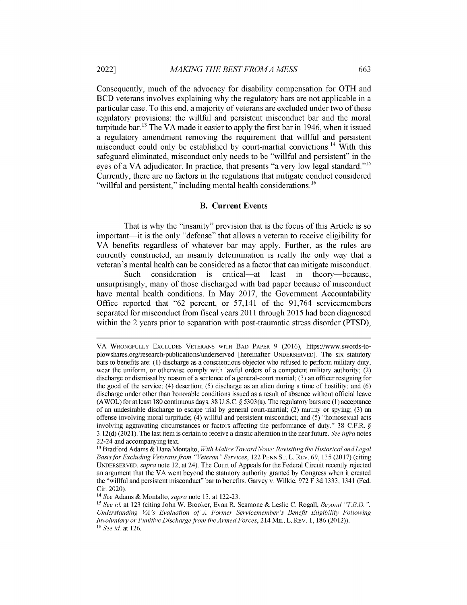Consequently, much of the advocacy for disability compensation for OTH and BCD veterans involves explaining why the regulatory bars are not applicable in a particular case. To this end, a majority of veterans are excluded under two of these regulatory provisions: the willful and persistent misconduct bar and the moral turpitude bar.<sup>13</sup> The VA made it easier to apply the first bar in 1946, when it issued a regulatory amendment removing the requirement that willful and persistent misconduct could only be established by court-martial convictions.<sup>14</sup> With this safeguard eliminated, misconduct only needs to be "willful and persistent" in the eyes of a VA adjudicator. In practice, that presents "a very low legal standard."<sup>15</sup> Currently, there are no factors in the regulations that mitigate conduct considered "willful and persistent," including mental health considerations.<sup>16</sup>

#### **B. Current Events**

That is why the "insanity" provision that is the focus of this Article is so important—it is the only "defense" that allows a veteran to receive eligibility for VA benefits regardless of whatever bar may apply. Further, as the rules are currently constructed, an insanity determination is really the only way that a veteran's mental health can be considered as a factor that can mitigate misconduct.

Such consideration is critical—at least in theory—because, unsurprisingly, many of those discharged with bad paper because of misconduct have mental health conditions. In May 2017, the Government Accountability Office reported that "62 percent, or 57,141 of the 91,764 servicemembers separated for misconduct from fiscal years 2011 through 2015 had been diagnosed within the 2 years prior to separation with post-traumatic stress disorder (PTSD),

VA WRONGFULLY EXCLUDES VETERANS WITH BAD PAPER 9 (2016), https://www.swords-toplowshares.org/research-publications/underserved [hereinafter UNDERSERVED]. The six statutory bars to benefits are: (1) discharge **as a conscientious** objector who refused to perform military duty, wear the uniform, or otherwise comply with lawful orders of a competent military authority; (2) discharge **or dismissal** by reason of **a sentence** of a general-court martial; (3) an officer resigning for the good of the service; (4) desertion; *(5)* discharge as an alien during a time of hostility; and (6) discharge under other than honorable conditions **issued as** a result of absence without official leave (AWOL) for at least 180 continuous days. 38 U.S.C.  $\S$  5303(a). The regulatory bars are (1) acceptance of an undesirable discharge **to escape** trial by general court-martial; (2) mutiny or spying; (3) an offense involving moral turpitude; (4) willful and persistent misconduct; and (5) "homosexual acts involving aggravating circumstances or factors affecting the performance of duty." 38 C.F.R. § 3.12(d) (2021). The last item is certain to receive a drastic alteration in the near future. *See infra* notes 22-24 and accompanying text.

<sup>13</sup>Bradford Adams & Dana Montalto, *With Malice Toward None: Revisiting the Historical and Legal Basis for Excluding Veterans from "Veteran" Services,* 122 PENN ST. L. REv. 69, 135 (2017) (citing UNDERSERVED, *supra* note 12, at 24). The Court of Appeals for the Federal Circuit recently rejected an argument that the VA went beyond the statutory authority granted by Congress when it created the "willful and persistent misconduct" bar to benefits. Garvey v. Wilkie, 972 F.3d 1333, 1341 (Fed. Cir. 2020).

**<sup>14</sup>***See* Adams & Montalto, *supra* note 13, at 122-23.

**<sup>15</sup>***See id.* at 123 (citing John W. Brooker, Evan R. Seamone & Leslie C. Rogall, *Beyond "T.B.D. Understanding VA's Evaluation of A Former Servicemember's Benefit Eligibility Following Involuntary or Punitive Discharge from the Armed Forces,* 214 MIL. L. REv. 1, 186 (2012)). **<sup>16</sup>***See id.* at 126.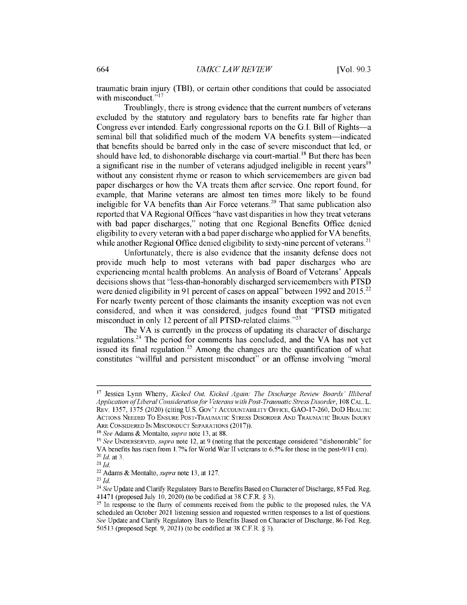traumatic brain injury (TBI), or certain other conditions that could be associated with misconduct."<sup>17</sup>

Troublingly, there is strong evidence that the current numbers of veterans excluded by the statutory and regulatory bars to benefits rate far higher than Congress ever intended. Early congressional reports on the G.I. Bill of Rights-a seminal bill that solidified much of the modern VA benefits system-indicated that benefits should be barred only in the case of severe misconduct that led, or should have led, to dishonorable discharge via court-martial.<sup>18</sup> But there has been a significant rise in the number of veterans adjudged ineligible in recent years<sup>19</sup> without any consistent rhyme or reason to which servicemembers are given bad paper discharges or how the VA treats them after service. One report found, for example, that Marine veterans are almost ten times more likely to be found ineligible for VA benefits than Air Force veterans.<sup>20</sup> That same publication also reported that VA Regional Offices "have vast disparities in how they treat veterans with bad paper discharges," noting that one Regional Benefits Office denied eligibility to every veteran with a bad paper discharge who applied for VA benefits, while another Regional Office denied eligibility to sixty-nine percent of veterans.<sup>21</sup>

Unfortunately, there is also evidence that the insanity defense does not provide much help to most veterans with bad paper discharges who are experiencing mental health problems. An analysis of Board of Veterans' Appeals decisions shows that "less-than-honorably discharged servicemembers with PTSD were denied eligibility in 91 percent of cases on appeal" between 1992 and 2015.<sup>22</sup> For nearly twenty percent of those claimants the insanity exception was not even considered, and when it was considered, judges found that "PTSD mitigated misconduct in only 12 percent of all PTSD-related claims."<sup>23</sup>

The VA is currently in the process of updating its character of discharge regulations.<sup>24</sup> The period for comments has concluded, and the VA has not yet issued its final regulation.<sup>25</sup> Among the changes are the quantification of what constitutes "willful and persistent misconduct" or an offense involving "moral

**<sup>17</sup>**Jessica Lynn Wherry, *Kicked Out, Kicked Again: The Discharge Review Boards' Illiberal Application of Liberal Consideration for Veterans with Post-Traumatic Stress Disorder,* 108 CAL. L. REV. 1357, 1375 (2020) (citing U.S. GOV'T ACCOUNTABILITY OFFICE, GAO-17-260, DOD HEALTH: ACTIONS NEEDED TO ENSURE POST-TRAUMATIC STRESS DISORDER AND TRAUMATIC BRAIN INJURY ARE CONSIDERED IN MISCONDUCT SEPARATIONS (2017)).

**<sup>18</sup>***See* Adams *&* Montalto, *supra* note 13, at 88.

**<sup>1&</sup>quot;** *See* UNDERSERVED, *supra* note 12, at 9 (noting that the percentage considered "dishonorable" for VA benefits has risen from 1.7% for World War II veterans to **6.5%** for those in the post-9/11 era). *<sup>20</sup>Id.* at 3.

**<sup>21</sup>***Id.*

<sup>22</sup>Adams & Montalto, *supra* note 13, at 127.

<sup>23</sup>*Id.*

<sup>24</sup>*See* Update and Clarify Regulatory Bars to Benefits Based on Character of Discharge, *85* Fed. Reg. 41471 (proposed July 10, 2020) (to be codified at 38 C.F.R. § 3).

<sup>&</sup>lt;sup>25</sup> In response to the flurry of comments received from the public to the proposed rules, the VA scheduled an October 2021 listening session and requested written responses to a list of questions. *See* Update and Clarify Regulatory Bars to Benefits Based on Character of Discharge, 86 Fed. Reg. *50513* (proposed Sept. 9, 2021) (to be codified at 38 C.F.R. § 3).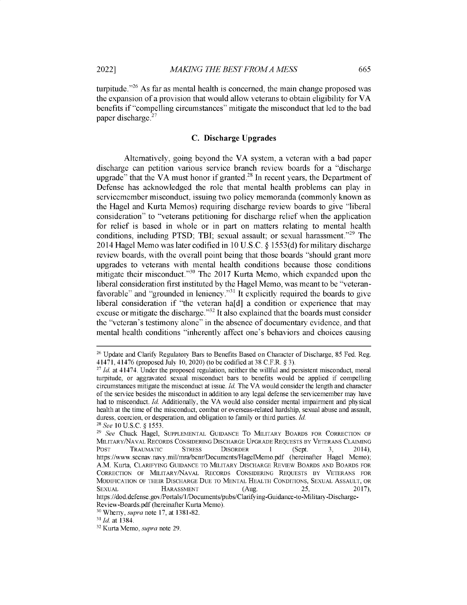**turpitude."<sup>2</sup> <sup>6</sup>**As far as **mental health is concerned, the main change proposed was the expansion of a provision that would allow veterans to obtain** eligibility for VA **benefits if "compelling circumstances" mitigate the misconduct that led to the bad paper discharge.<sup>2</sup> <sup>7</sup>**

#### **C. Discharge Upgrades**

Alternatively, **going** beyond the VA system, a veteran with **a bad paper discharge can petition various service** branch review **boards for a "discharge upgrade"** that the VA must honor **if granted.<sup>2</sup> <sup>8</sup>In recent** years, **the Department of Defense has acknowledged the role that mental health problems can play in servicemember misconduct, issuing two policy memoranda (commonly known as the Hagel and Kurta Memos) requiring discharge** review **boards to give "liberal consideration" to "veterans petitioning for discharge relief when the application** for relief **is based in whole or in part on matters relating to mental health** conditions, including PTSD; TBI; sexual assault; or sexual harassment.<sup>"29</sup> The 2014 **Hagel Memo was later codified** in 10 U.S.C. @ 1553(d) for military **discharge** review **boards,** with the overall **point being that those boards "should grant more upgrades to veterans** with **mental health conditions because those conditions** mitigate their misconduct."<sup>30</sup> The 2017 Kurta Memo, which expanded upon the **liberal consideration first instituted** by the **Hagel Memo, was meant to** be "veteran**favorable" and "grounded in** leniency."<sup>3</sup> ' It explicitly **required the boards to give liberal consideration if "the veteran ha[d] a condition or experience** that may **excuse or mitigate the discharge." <sup>32</sup>It also explained** that the **boards must consider** the "veteran's **testimony alone" in the absence of documentary evidence, and that mental health conditions "inherently affect one's behaviors and choices causing**

<sup>26</sup>Update and Clarify **Regulatory Bars to Benefits Based on Character of Discharge,** *85* **Fed. Reg.** 41471, 41476 **(proposed** July 10, 2020) **(to be codified** at 38 C.F.R. § 3).

<sup>27</sup>*Id.* at 41474. Under the **proposed regulation, neither the willful and persistent misconduct, moral turpitude, or aggravated sexual misconduct bars to benefits would be applied if compelling circumstances mitigate the misconduct at issue.** *Id.* The VA would **consider the length and character of the service besides the misconduct in addition to any legal defense the servicemember may have had to misconduct.** *Id.* Additionally, the VA would **also consider mental impairment and physical health at the** time of the **misconduct, combat or overseas-related hardship, sexual abuse and assault, duress, coercion, or desperation, and obligation** to family **or third parties.** *Id. 2 8 See* 10 U.S.C. § *1553.*

<sup>29</sup>*See* Chuck **Hagel,** SUPPLEMENTAL GUIDANCE TO MILITARY BOARDS FOR CORRECTION OF MILITARY/NAVAL RECORDS CONSIDERING DISCHARGE UPGRADE REQUESTS BY VETERANS CLAIMING POST TRAUMATIC **STRESS DISORDER 1 (Sept.** 3, 2014), **https://www.secnav.navy.mil/mra/bcnr/Documents/HagelMemo.pdf (hereinafter Hagel Memo);** A.M. Kurta, CLARIFYING GUIDANCE TO MILITARY DISCHARGE REVIEW BOARDS AND **BOARDS FOR** CORRECTION OF MILITARY/NAVAL RECORDS CONSIDERING REQUESTS BY VETERANS FOR MODIFICATION OF THEIR DISCHARGE DUE TO MENTAL HEALTH CONDITIONS, SEXUAL ASSAULT, OR SEXUAL HARASSMENT (Aug. *25,* 2017), **https://dod.defense.gov/Portals/1/Documents/pubs/Clarifying-Guidance-to-Military-Discharge-**

**Review-Boards.pdf (hereinafter Kurta Memo).**

<sup>30</sup>Wherry, *supra* **note 17, at 1381-82.**

<sup>31</sup>*Id.* **at 1384.**

<sup>32</sup>**Kurta Memo,** *supra* **note 29.**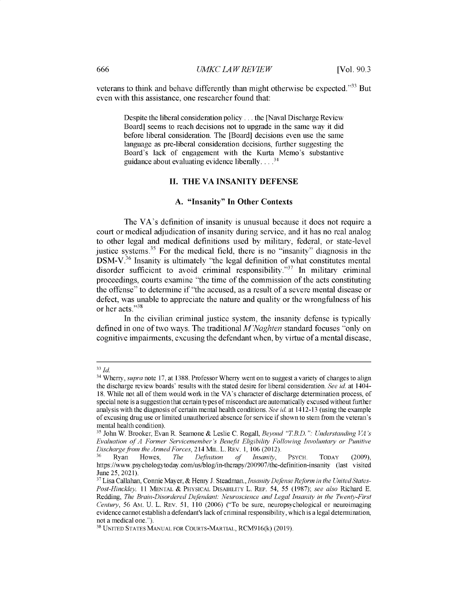**veterans to think and behave** differently **than might otherwise be expected." <sup>33</sup>But** even with **this assistance, one researcher found that:**

**Despite the liberal consideration policy ... the [Naval Discharge Review Board] seems to reach decisions not to upgrade in the same way it did before liberal consideration. The [Board] decisions even use the same language as pre-liberal consideration decisions, further suggesting the Board's lack of engagement with the Kurta Memo's substantive guidance about evaluating evidence liberally....3**

#### **II. THE VA INSANITY DEFENSE**

#### **A. "Insanity" In Other Contexts**

The VA's **definition** of insanity **is unusual because it does not require a court or medical adjudication** of insanity **during service, and it has no real analog to other legal and medical definitions used by military, federal, or state-level justice systems. <sup>35</sup>**For the **medical** field, **there is no "insanity" diagnosis in the** DSM-V.<sup>36</sup>**Insanity is ultimately "the legal definition of what constitutes mental** disorder sufficient to avoid criminal responsibility."<sup>37</sup> In military criminal **proceedings, courts examine "the time of the commission of the acts constituting the offense" to determine if "the accused, as a result of a severe mental disease or** defect, **was unable to appreciate the nature and quality or the wrongfulness of his or her acts."3<sup>8</sup>**

**In the civilian criminal justice system, the insanity defense is** typically **defined in one of two** ways. **The traditional** *M'Naghten* **standard focuses "only on cognitive impairments, excusing the defendant when,** by virtue of **a mental disease,**

<sup>33</sup>*Id.*

<sup>34</sup>Wherry, *supra note* 17, **at 1388. Professor** Wherry **went on to suggest a** variety **of changes to align the discharge review boards' results with the stated desire for liberal consideration.** *See id.* **at 1404- 18. While not all of them would work in the** VA's character **of discharge determination process, of special note is a suggestionthat certain types of misconduct are automatically excused without further analysis with the diagnosis of certain mental health conditions.** *See id.* at 1412-13 **(using the example of excusing drug use or limited unauthorized absence for service if shown to stem from the veteran's mental health condition).**

<sup>35</sup>John **W. Brooker,** Evan R. **Seamone & Leslie C. Rogall,** *Beyond "T.B.D.* ": *Understanding VA 's Evaluation of A Former Servicemember's Benefit Eligibility Following Involuntary or Punitive Discharge from the Armed Forces,* 214 MIL. L. REv. **1, 106** (2012).

**<sup>36</sup>Ryan Howes,** *The Definition of Insanity,* PSYCH. TODAY (2009), **https://www.psychologytoday.com/us/blog/in-therapy/200907/the-definition-insanity (last visited June** *25,* 2021).

<sup>3 7</sup> Lisa Callahan, Connie Mayer, & **Henry J. Steadman.,** *Insanity Defense Reform in the United States-Post-Hinckley,* 11 MENTAL & PHYSICAL DISABILITY L. REP. *54, 55* (1987); *see also* **Richard E. Redding,** *The Brain-Disordered Defendant: Neuroscience and Legal Insanity in the Twenty-First Century, 56* Am. U. L. REV. *51,* **110** (2006) **("To be sure, neuropsychological or neuroimaging evidence cannot establish a defendant's lack of criminal responsibility, which is a legal determination, not a medical one.").**

<sup>38</sup> UNITED STATES MANUAL FOR COURTS-MARTIAL, RCM916(k) (2019).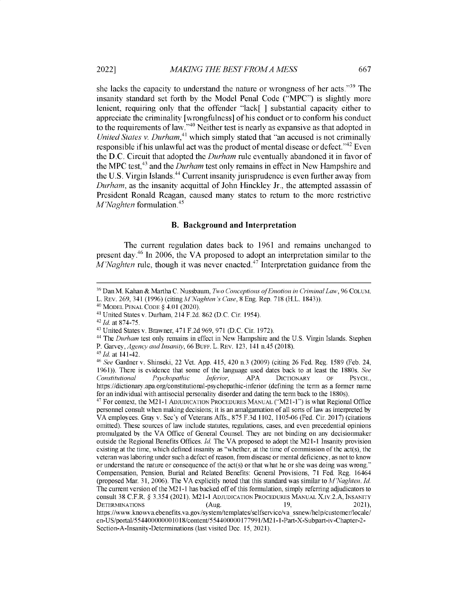she lacks the capacity to understand the nature or wrongness of her acts."<sup>39</sup> The insanity standard set forth by the Model Penal Code ("MPC") is slightly more lenient, requiring only that the offender "lack[ ] substantial capacity either to appreciate the criminality [wrongfulness] of his conduct or to conform his conduct to the requirements of law. $^{540}$  Neither test is nearly as expansive as that adopted in *United States v. Durham*,<sup>41</sup> which simply stated that "an accused is not criminally responsible if his unlawful act was the product of mental disease or defect.<sup> $342$ </sup> Even the D.C. Circuit that adopted the *Durham* rule eventually abandoned it in favor of the MPC test,<sup>43</sup> and the *Durham* test only remains in effect in New Hampshire and the U.S. Virgin Islands.<sup>44</sup> Current insanity jurisprudence is even further away from *Durham,* as the insanity acquittal of John Hinckley Jr., the attempted assassin of President Ronald Reagan, caused many states to return to the more restrictive *M'Naghten* formulation.<sup>45</sup>

#### **B. Background and Interpretation**

The current regulation dates back to 1961 and remains unchanged to present day.<sup>46</sup> In 2006, the VA proposed to adopt an interpretation similar to the *M'Naghten* rule, though it was never enacted.<sup>47</sup> Interpretation guidance from the

<sup>&</sup>lt;sup>39</sup> Dan M. Kahan & Martha C. Nussbaum, *Two Conceptions of Emotion in Criminal Law*, 96 COLUM. L. REv. 269, 341 (1996) *(citing M'Naghten 's Case,* 8 Eng. Rep. 718 (H.L. 1843)).

<sup>40</sup>MODEL PENAL CODE § 4.01 (2020).

<sup>41</sup>United States v. Durham, 214 F.2d. 862 (D.C. Cir. 1954).

<sup>42</sup>*Id.* at 874-75.

<sup>43</sup>United States v. Brawner, 471 F.2d 969, 971 (D.C. Cir. 1972).

<sup>44</sup>The *Durham* test only remains in effect in New Hampshire and the U.S. Virgin Islands. Stephen

P. Garvey, *Agency and Insanity,* 66 BUFF. L. REv. 123, 141 n.45 (2018).

*<sup>4</sup>5 Id.* at 141-42.

<sup>46</sup>*See* Gardner v. Shinseki, 22 Vet. App. 415, 420 n.3 (2009) (citing 26 Fed. Reg. 1589 (Feb. 24, 1961)). There is evidence that some of the language used dates back to at least the 1880s. *See Constitutional Psychopathic Inferior,* APA DICTIONARY OF PSYCH., https://dictionary.apa.org/constitutional-psychopathic-inferior (defining the term as a former name for an individual with antisocial personality disorder and dating the term back to the 1880s).

<sup>47</sup> For context, the M21-1 ADJUDICATION PROCEDURES MANUAL ("M21-1") is what Regional Office personnel consult when making decisions; it is an amalgamation of all sorts of law as interpreted by VA employees. Gray v. Sec'y of Veterans Affs., 875 F.3d 1102, 1105-06 (Fed. Cir. 2017) (citations omitted). These sources of law include statutes, regulations, **cases,** and even precedential opinions promulgated by the VA Office of General Counsel. They are not binding on any decisionmaker outside the Regional Benefits Offices. *Id.* The VA proposed to adopt the M21-1 Insanity provision existing at the time, which defined insanity as "whether, at the time of commission of the act(s), the veteran was laboring under such a defect of reason, from disease or mental deficiency, as not to know or understand the nature or consequence of the act(s) or that what he or she was doing was wrong." Compensation, Pension, Burial and Related Benefits: General Provisions, 71 Fed. Reg. 16464 (proposed Mar. 31, 2006). The VA explicitly noted that this standard was similar to *M 'Naghten. Id.* The current version of the M21-1 has backed off of this formulation, simply referring adjudicators to consult 38 C.F.R. § 3.354 (2021). M21-1 ADJUDICATION PROCEDURES MANUAL X.Iv.2.A, INSANITY DETERMINATIONS (Aug. 19, 2021) https://www.knowva.ebenefits.va.gov/system/templates/selfservice/va ssnew/help/customer/local en-US/portal/554400000001018/content/554400000177991/M21-1-Part-X-Subpart-iv-Chapter-2-

Section-A-Insanity-Determinations (last visited Dec. 15, 2021).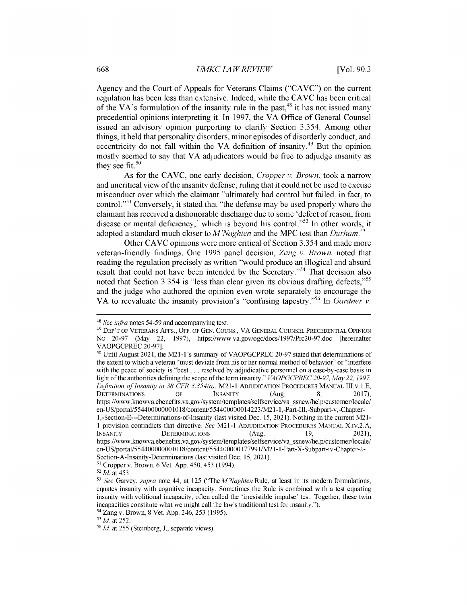**Agency and the Court of Appeals for Veterans Claims** ("CAVC") **on the current regulation has been less than extensive. Indeed, while the CAVC has been critical** of the VA's formulation of the insanity rule in the past,<sup>48</sup> it has not issued many **precedential opinions interpreting it. In 1997,** the VA **Office of General Counsel issued** an **advisory opinion purporting to clarify Section** *3.354.* **Among other things, it held that personality disorders, minor episodes of disorderly conduct, and eccentricity do not fall within the VA definition of insanity. <sup>4</sup>9 But the opinion mostly seemed to say that VA adjudicators would be free to adjudge insanity as they see fit.<sup>50</sup>**

**As for the** CAVC, **one early decision,** *Cropper v. Brown,* **took a narrow and uncritical view of the insanity defense, ruling that it could not be used to excuse misconduct over which the claimant "ultimately had control but failed, in fact, to control."51 Conversely, it stated that "the defense may be used properly where the claimant has received a dishonorable discharge due to some 'defect of reason, from disease or mental deficiency,' which is beyond his control."<sup>5</sup> <sup>2</sup>In other words, it adopted a standard much closer to** *M'Naghten* **and the MPC test than** *Durham.<sup>53</sup>*

**Other CAVC opinions were more critical of Section** *3.354* **and made more veteran-friendly findings. One 1995 panel decision,** *Zang v. Brown,* **noted that reading the regulation precisely as written "would produce** an **illogical and absurd** result that could not have been intended by the Secretary.<sup>54</sup> That decision also **noted that Section 3.354 is "less than clear given its obvious drafting defects,"<sup>55</sup> and the judge who authored the opinion even wrote separately to encourage the VA to reevaluate the insanity provision's "confusing tapestry."56 In** *Gardner v.*

<sup>48</sup>*See infra* **notes** *54-59* **and accompanying text.**

**<sup>49</sup> DEP'T OF VETERANS AFFS., OFF. OF GEN. COUNS., VA GENERAL COUNSEL PRECEDENTIAL OPINION No 20-97 (May 22, 1997), https://www.va.gov/ogc/docs/1997/Prc20-97.doc [hereinafter VAOPGCPREC 20-97].**

**<sup>50</sup>Until August 2021, the M21-I's summary of VAOPGCPREC 20-97 stated that determinations of the extent to which a veteran "must deviate from his or her normal method of behavior" or "interfere with the peace of society is "best** ... **resolved by adjudicative personnel on a case-by-case basis in light of the authorities defining the scope of the term insanity."** *VAOPGCPREC 20-97, May 22, 1997, Definition of Insanity in 38 CFR 3.354(a), M21-1 ADJUDICATION PROCEDURES MANUAL III.v.1.E,*<br>DETERMINATIONS OF INSANITY (Aug. 8, 2017), **DETERMINATIONS OF INSANITY (Aug. 8,** 2017), **https://www.knowva.ebenefits.va.gov/system/templates/selfservice/vassnew/help/customer/locale/ en-US/portal/554400000001018/content/554400000014223/M21-1,-Part-III,-Subpart-v,-Chapter-1,-Section-E---Determinations-of-Insanity (last visited Dec.** *15,* **2021). Nothing in the current M21-** 1 **provision contradicts that directive.** *See* **M21-1 ADJUDICATION PROCEDURES** MANUAL X.Iv.2.A, **INSANITY DETERMINATIONS (Aug. 19, 2021), https://www.knowva.ebenefits.va.gov/system/templates/selfservice/vassnew/help/customer/locale/ en-US/portal/554400000001018/content/554400000177991/M21-1-Part-X-Subpart-iv-Chapter-2- Section-A-Insanity-Determinations (last visited Dec.** *15,* **2021).**

*<sup>5</sup>* **Cropper v. Brown, 6 Vet. App.** *450, 453* **(1994).**

*<sup>52</sup>Id.* **at** *453.*

**<sup>53</sup>***See* **Garvey,** *supra* **note** *44,* **at 125 ("The** *M'Naghten* **Rule, at least in its modern formulations, equates insanity with cognitive incapacity. Sometimes the Rule is combined with a test equating insanity with volitional incapacity, often called the 'irresistible impulse' test. Together, these twin incapacities constitute what we might call the law's traditional test for insanity.").**

**<sup>54</sup>Zang v. Brown, 8 Vet. App. 246,** *253 (1995).*

*<sup>55</sup>Id.* **at 252.**

<sup>56</sup>*Id.* **at 255 (Steinberg, J., separate views).**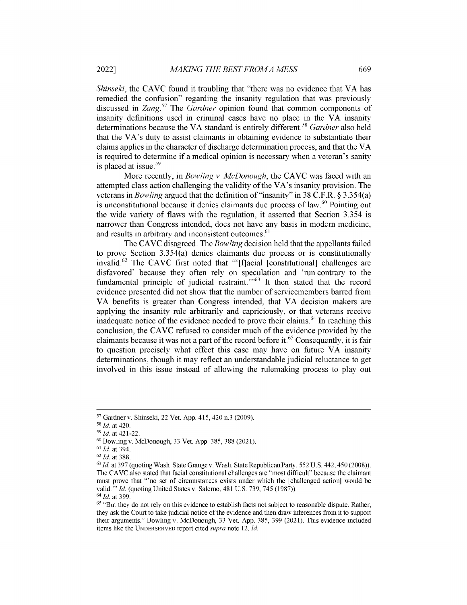*Shinseki*, the CAVC found it troubling that "there was no evidence that VA has remedied the confusion" regarding the insanity regulation that was previously discussed in *Zang."* The *Gardner* opinion found that common components of insanity definitions used in criminal cases have no place in the VA insanity determinations because the VA standard is entirely different. <sup>58</sup>*Gardner* also held that the VA's duty to assist claimants in obtaining evidence to substantiate their claims applies in the character of discharge determination process, and that the VA is required to determine if a medical opinion is necessary when a veteran's sanity is placed at issue. $59$ 

More recently, in *Bowling v. McDonough,* the CAVC was faced with an attempted class action challenging the validity of the VA's insanity provision. The veterans in *Bowling* argued that the definition of "insanity" in 38 C.F.R. § 3.354(a) is unconstitutional because it denies claimants due process of law.  $60$  Pointing out the wide variety of flaws with the regulation, it asserted that Section *3.354* is narrower than Congress intended, does not have any basis in modern medicine, and results in arbitrary and inconsistent outcomes. **<sup>61</sup>**

The CAVC disagreed. The *Bowling* decision held that the appellants failed to prove Section *3.354(a)* denies claimants due process or is constitutionally invalid.<sup>62</sup> The CAVC first noted that "'[f]acial [constitutional] challenges are disfavored' because they often rely on speculation and 'run contrary to the fundamental principle of judicial restraint."<sup>563</sup> It then stated that the record evidence presented did not show that the number of servicemembers barred from VA benefits is greater than Congress intended, that VA decision makers are applying the insanity rule arbitrarily and capriciously, or that veterans receive inadequate notice of the evidence needed to prove their claims.<sup>64</sup> In reaching this conclusion, the CAVC refused to consider much of the evidence provided by the claimants because it was not a part of the record before it.<sup>65</sup> Consequently, it is fair to question precisely what effect this case may have on future VA insanity determinations, though it may reflect an understandable judicial reluctance to get involved in this issue instead of allowing the rulemaking process to play out

<sup>&</sup>lt;sup>57</sup> Gardner v. Shinseki, 22 Vet. App. 415, 420 n.3 (2009).

<sup>51</sup>*Id. at* 420.

*<sup>5</sup> <sup>1</sup>Id. at* 421-22.

**<sup>60</sup>**Bowling v. McDonough, 33 Vet. App. 385, 388 (2021).

*<sup>61</sup>Id. at* 394.

*<sup>62</sup>Id. at* 388.

**<sup>63</sup>***Id. at* 397 (quoting Wash. State Grange v. Wash. State Republican Party, *552* U. S. 442, *450* (2008)). The CAVC also stated that facial constitutional challenges are "most difficult" because the claimant must prove that "'no set of circumstances exists under which the [challenged action] would be valid."' *Id.* (quoting United States v. Salerno, 481 U.S. 739, *745* (1987)). *<sup>64</sup>Id.* at 399.

<sup>&</sup>lt;sup>65</sup> "But they do not rely on this evidence to establish facts not subject to reasonable dispute. Rather, they ask the Court to take judicial notice of the evidence and then draw inferences from it to support their arguments." Bowling v. McDonough, 33 Vet. App. *385,* 399 (2021). This evidence included items like the **UNDERSERVED** report cited *supra* note *12. Id.*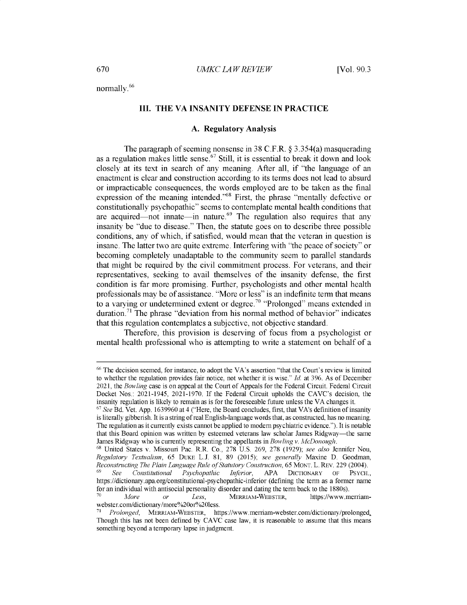normally. <sup>66</sup>

#### **III. THE VA INSANITY DEFENSE IN PRACTICE**

#### **A. Regulatory Analysis**

The paragraph of seeming nonsense in 38 C.F.R. @ *3.354(a)* masquerading as a regulation makes little sense.<sup>67</sup> Still, it is essential to break it down and look closely at its text in search of any meaning. After all, if "the language of an enactment is clear and construction according to its terms does not lead to absurd or impracticable consequences, the words employed are to be taken as the final expression of the meaning intended."<sup>68</sup> First, the phrase "mentally defective or constitutionally psychopathic" seems to contemplate mental health conditions that are acquired—not innate—in nature.<sup>69</sup> The regulation also requires that any insanity be "due to disease." Then, the statute goes on to describe three possible conditions, any of which, if satisfied, would mean that the veteran in question is insane. The latter two are quite extreme. Interfering with "the peace of society" or becoming completely unadaptable to the community seem to parallel standards that might be required by the civil commitment process. For veterans, and their representatives, seeking to avail themselves of the insanity defense, the first condition is far more promising. Further, psychologists and other mental health professionals may be of assistance. "More or less" is an indefinite term that means to a varying or undetermined extent or degree.<sup>70</sup> "Prolonged" means extended in duration.<sup>71</sup> The phrase "deviation from his normal method of behavior" indicates that this regulation contemplates a subjective, not objective standard.

Therefore, this provision is deserving of focus from a psychologist or mental health professional who is attempting to write a statement on behalf of a

<sup>&</sup>lt;sup>66</sup> The decision seemed, for instance, to adopt the VA's assertion "that the Court's review is limited to whether the regulation provides fair notice, not whether it is wise." *Id.* at 396. As of December 2021, the *Bowling* case is on appeal at the Court of Appeals for the Federal Circuit. Federal Circuit Docket Nos.: 2021-1945, 2021-1970. If the Federal Circuit upholds the CAVC's decision, the insanity regulation is likely to remain as is for the foreseeable future unless the VA changes it.

<sup>67</sup>*See* Bd. Vet. App. 1639960 at 4 ("Here, the Board concludes, first, that VA's definition of insanity is literally gibberish. It is a string of real English-language words that, as constructed, has no meaning. The regulation as it currently exists cannot **be** applied to modern psychiatric evidence."). It is notable that this Board opinion was written by esteemed veterans law scholar James Ridgway-the same James Ridgway who is currently representing the appellants in *Bowling v. McDonough.*

<sup>68</sup>United States v. Missouri Pac. R.R. Co., 278 U.S. 269, 278 (1929); *see also* Jennifer Nou, *Regulatory Textualism,* 65 DUKE L.J. 81, 89 (2015); *see generally* Maxine D. Goodman, *Reconstructing The Plain Language Rule of Statutory Construction,* 65 MONT. L. REV. 229 (2004). <sup>69</sup>*See Constitutional Psychopathic Inferior,* APA DICTIONARY OF PSYCH., https://dictionary.apa.org/constitutional-psychopathic-inferior (defining the term as a former name for an individual with antisocial personality disorder and dating the term back to the 1880s).

<sup>70</sup> *More or Less,* MERRIAM-WEBSTER, https://www.merriamwebster.com/dictionary/more%20or%20less.<br>
<sup>71</sup> Prolenged MERRIAM WEBSTER

<sup>71</sup>*Prolonged,* MERRIAM-WEBSTER, https://www.merriam-webster.com/dictionary/prolonged\_ Though this has not been defined by CAVC case law, it is reasonable to assume that this means something beyond a temporary lapse in judgment.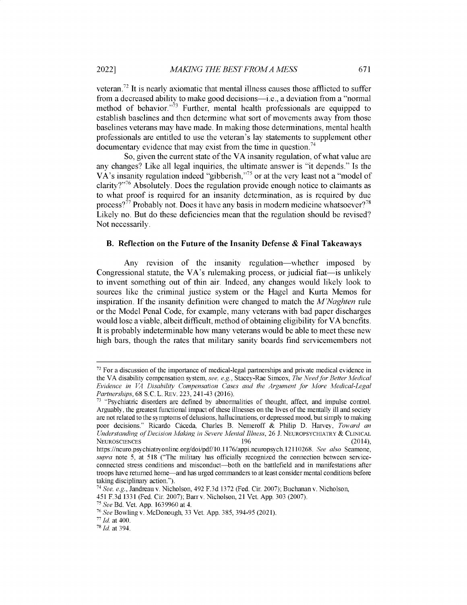veteran.<sup> $72$ </sup> It is nearly axiomatic that mental illness causes those afflicted to suffer from a decreased ability to make good decisions-i.e., a deviation from a "normal method of behavior. $\frac{1}{2}$  Further, mental health professionals are equipped to establish baselines and then determine what sort of movements away from those baselines veterans may have made. In making those determinations, mental health professionals are entitled to use the veteran's lay statements to supplement other documentary evidence that may exist from the time in question.<sup>74</sup>

So, given the current state of the VA insanity regulation, of what value are any changes? Like all legal inquiries, the ultimate answer is "it depends." Is the VA's insanity regulation indeed "gibberish,"<sup>75</sup> or at the very least not a "model of clarity? $25\%$  Absolutely. Does the regulation provide enough notice to claimants as to what proof is required for an insanity determination, as is required by due process?<sup>77</sup> Probably not. Does it have any basis in modern medicine whatsoever?<sup>78</sup> Likely no. But do these deficiencies mean that the regulation should be revised? Not necessarily.

#### **B. Reflection on the Future of the Insanity Defense & Final Takeaways**

Any revision of the insanity regulation—whether imposed by Congressional statute, the VA's rulemaking process, or judicial fiat—is unlikely to invent something out of thin air. Indeed, any changes would likely look to sources like the criminal justice system or the Hagel and Kurta Memos for inspiration. If the insanity definition were changed to match the *M'Naghten* rule or the Model Penal Code, for example, many veterans with bad paper discharges would lose a viable, albeit difficult, method of obtaining eligibility for VA benefits. It is probably indeterminable how many veterans would be able to meet these new high bars, though the rates that military sanity boards find servicemembers not

 $72$  For a discussion of the importance of medical-legal partnerships and private medical evidence in the VA disability compensation system, *see, e.g.,* Stacey-Rae Simcox, *The Need for Better Medical Evidence in VA Disability Compensation Cases and the Argument for More Medical-Legal Partnerships,* 68 S.C. L. REv. 223, 241-43 (2016).

<sup>&</sup>lt;sup>73</sup> "Psychiatric disorders are defined by abnormalities of thought, affect, and impulse control. Arguably, the greatest functional impact of these illnesses on the lives of the mentally ill and society are not related to the symptoms of delusions, hallucinations, or depressed mood, but simply to making poor decisions." Ricardo Caceda, Charles B. Nemeroff & Philip D. Harvey, *Toward an Understanding of Decision Making in Severe Mental Illness, 26 J. NEUROPSYCHIATRY & CLINICAL*<br>196 (2014). NEUROSCIENCES 196 (2014),

https://neuro.psychiatryonline.org/doi/pdf/10.1176/appi.neuropsych.12110268. *See also* Seamone, *supra* note 5, at 518 ("The military has officially recognized the connection between serviceconnected stress conditions and misconduct-both on the battlefield and in manifestations after troops have returned home-and has urged commanders to at least consider mental conditions before taking disciplinary action.").

*<sup>74</sup>See, e.g.,* Jandreau v. Nicholson, 492 F.3d 1372 (Fed. Cir. 2007); Buchanan v. Nicholson,

<sup>451</sup> F.3d 1331 (Fed. Cir. 2007); Barrv. Nicholson, 21 Vet. App. 303 (2007).

*<sup>75</sup>See* Bd. Vet. App. 1639960 at 4.

<sup>76</sup>*See* Bowling v. McDonough, 33 Vet. App. 385, 394-95 (2021).

*<sup>77</sup>Id.* at 400.

*<sup>78</sup>1 Id.* at 394.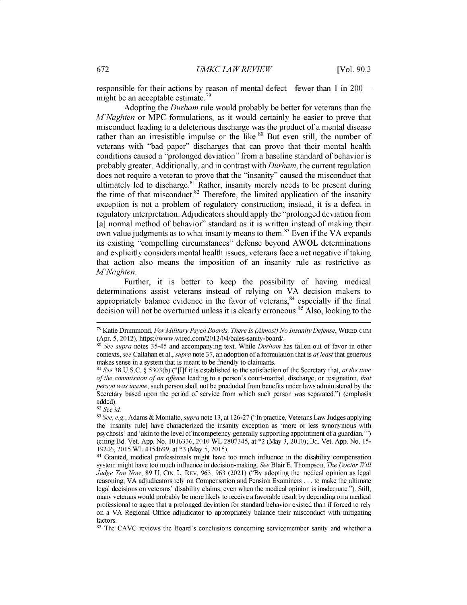responsible for their actions by reason of mental defect—fewer than 1 in 200 might be an acceptable estimate.<sup>79</sup>

Adopting the *Durham* rule would probably be better for veterans than the *M'Naghten* or MPC formulations, as it would certainly be easier to prove that misconduct leading to a deleterious discharge was the product of a mental disease rather than an irresistible impulse or the like. $80$  But even still, the number of veterans with "bad paper" discharges that can prove that their mental health conditions caused a "prolonged deviation" from a baseline standard of behavior is probably greater. Additionally, and in contrast with *Durham,* the current regulation does not require a veteran to prove that the "insanity" caused the misconduct that ultimately led to discharge.<sup>81</sup> Rather, insanity merely needs to be present during the time of that misconduct.<sup>82</sup> Therefore, the limited application of the insanity exception is not a problem of regulatory construction; instead, it is a defect in regulatory interpretation. Adjudicators should apply the "prolonged deviation from [a] normal method of behavior" standard as it is written instead of making their own value judgments as to what insanity means to them.<sup>83</sup> Even if the VA expands its existing "compelling circumstances" defense beyond AWOL determinations and explicitly considers mental health issues, veterans face a net negative if taking that action also means the imposition of an insanity rule as restrictive as *M'Naghten.*

Further, it is better to keep the possibility of having medical determinations assist veterans instead of relying on VA decision makers to appropriately balance evidence in the favor of veterans,  $84$  especially if the final decision will not be overturned unless it is clearly erroneous.<sup>85</sup> Also, looking to the

<sup>82</sup>*See id.*

<sup>85</sup> The CAVC reviews the Board's conclusions concerning servicemember sanity and whether a

<sup>w</sup>*Katie* Drummond, *For Military Psych Boards, There Is (Almost) No Insanity Defense,* WiRED.COM (Apr. *5,* 2012), https://www.wired.com/2012/04/bales-sanity-board/.

<sup>80</sup>*See supra* notes *35-45* and accompanying text. While *Durham* has fallen out of favor in other contexts, *see* Callahan et al., *supra* note 37, an adoption of a formulation that is *at least* that generous makes sense in a system that is meant to be friendly to claimants.

<sup>81</sup>*See* 38 U.S.C. § 5303(b) ("[I]f it is established to the satisfaction of the Secretary that, *at the time of the commission of an offense* leading to a person's court-martial, discharge, or resignation, *that person was insane,* such person shall not be precluded from benefits under laws administered by the Secretary based upon the period of service from which such person was separated.") (emphasis added).

<sup>83</sup>*See, e.g.,* Adams & Montalto, *supra* note 13, at 126-27 ("In practice, Veterans Law Judges applying the [insanity rule] have characterized the insanity exception as 'more or less synonymous with psychosis' and 'akin to the level of incompetency generally supporting appointment of a guardian."') (citing Bd. Vet. App. No. 1016336, 2010 WL 2807345, at \*2 (May 3, 2010); Bd. Vet. App. No. *15-* 19246, 2015 WL *4154699,* at \*3 (May *5, 2015).*

<sup>&</sup>lt;sup>84</sup> Granted, medical professionals might have too much influence in the disability compensation system might have too much influence in decision-making. *See* Blair E. Thompson, *The Doctor Will Judge You Now,* 89 U. CIN. L. REV. 963, 963 (2021) ("By adopting the medical opinion as legal reasoning, VA adjudicators rely on Compensation and Pension Examiners ... to make the ultimate legal decisions on veterans' disability claims, even when the medical opinion is inadequate."). Still, many veterans would probably be more likely to receive a favorable result by depending on a medical professional to agree that a prolonged deviation for standard behavior existed than if forced to rely on a VA Regional Office adjudicator to appropriately balance their misconduct with mitigating factors.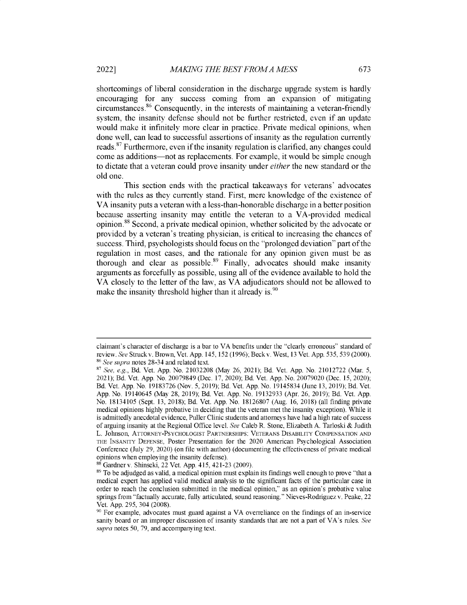shortcomings of liberal consideration in the discharge upgrade system is hardly encouraging for any success coming from an expansion of mitigating circumstances.8 6 Consequently, in the interests of maintaining a veteran-friendly system, the insanity defense should not be further restricted, even if an update would make it infinitely more clear in practice. Private medical opinions, when done well, can lead to successful assertions of insanity as the regulation currently reads.<sup>87</sup> Furthermore, even if the insanity regulation is clarified, any changes could come as additions-not as replacements. For example, it would be simple enough to dictate that a veteran could prove insanity under *either* the new standard or the old one.

This section ends with the practical takeaways for veterans' advocates with the rules as they currently stand. First, mere knowledge of the existence of VA insanity puts a veteran with a less-than-honorable discharge in a better position because asserting insanity may entitle the veteran to a VA-provided medical opinion.<sup>88</sup> Second, a private medical opinion, whether solicited by the advocate or provided by a veteran's treating physician, is critical to increasing the chances of success. Third, psychologists should focus on the "prolonged deviation" part of the regulation in most cases, and the rationale for any opinion given must be as thorough and clear as possible.<sup>89</sup> Finally, advocates should make insanity arguments as forcefully as possible, using all of the evidence available to hold the VA closely to the letter of the law, as VA adjudicators should not be allowed to make the insanity threshold higher than it already is.<sup>90</sup>

claimant's character of discharge is a bar to VA benefits under the "clearly erroneous" standard of review. *See* Struckv. Brown, Vet. App. 145, 152 (1996); Beckv. West, 13 Vet. App. 535, 539 (2000). <sup>86</sup>*See supra* notes 28-34 and related text.

<sup>87</sup>*See, e.g.,* Bd. Vet. App. No. 21032208 (May 26, 2021); Bd. Vet. App. No. 21012722 (Mar. 5, 2021); Bd. Vet. App. No. 20079849 (Dec. 17, 2020); Bd. Vet. App. No. 20079020 (Dec. 15, 2020); Bd. Vet. App. No. 19183726 (Nov. 5, 2019); Bd. Vet. App. No. 19145834 (June 13, 2019); Bd. Vet. App. No. 19140645 (May 28, 2019); Bd. Vet. App. No. 19132933 (Apr. 26, 2019); Bd. Vet. App. No. 18134105 (Sept. 13, 2018); Bd. Vet. App. No. 18126807 (Aug. 16, 2018) (all finding private medical opinions highly probative in deciding that the veteran met the insanity exception). While it is admittedly anecdotal evidence, Puller Clinic students and attorneys have had a high rate of success of arguing insanity at the Regional Office level. *See* Caleb R. Stone, Elizabeth A. Tarloski & Judith L. Johnson, ATTORNEY-PSYCHOLOGIST PARTNERSHIPS: VETERANS DISABILITY COMPENSATION AND THE INSANITY DEFENSE, Poster Presentation for the 2020 American Psychological Association Conference (July 29, 2020) (on file with author) (documenting the effectiveness of private medical opinions when employing the insanity defense).

<sup>88</sup>Gardner v. Shinseki, 22 Vet. App. 415, 421-23 (2009).

<sup>&</sup>lt;sup>89</sup> To be adjudged as valid, a medical opinion must explain its findings well enough to prove "that a medical expert has applied valid medical analysis to the significant facts of the particular case in order to reach the conclusion submitted in the medical opinion," as an opinion's probative value springs from "factually accurate, fully articulated, sound reasoning." Nieves-Rodriguez v. Peake, 22 Vet. App. 295, 304 (2008).

<sup>&</sup>lt;sup>90</sup> For example, advocates must guard against a VA overreliance on the findings of an in-service sanity board or an improper discussion of insanity standards that are not a part of VA's rules. *See supra* notes 50, 79, and accompanying text.